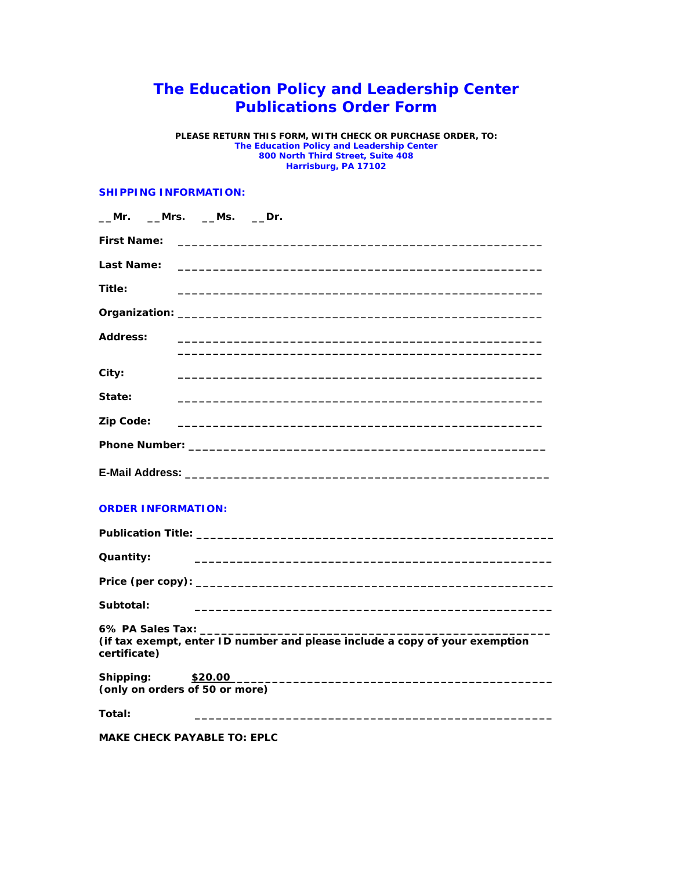## **The Education Policy and Leadership Center Publications Order Form**

**PLEASE RETURN THIS FORM, WITH CHECK OR PURCHASE ORDER, TO: The Education Policy and Leadership Center 800 North Third Street, Suite 408 Harrisburg, PA 17102**

## **SHIPPING INFORMATION:**

| __Mrs. __Ms. __Dr.<br>Mr.                                                                                                                                                                                                                                                                                                     |
|-------------------------------------------------------------------------------------------------------------------------------------------------------------------------------------------------------------------------------------------------------------------------------------------------------------------------------|
| <b>First Name:</b>                                                                                                                                                                                                                                                                                                            |
| Last Name:                                                                                                                                                                                                                                                                                                                    |
| Title:                                                                                                                                                                                                                                                                                                                        |
|                                                                                                                                                                                                                                                                                                                               |
| Address:                                                                                                                                                                                                                                                                                                                      |
| City:                                                                                                                                                                                                                                                                                                                         |
| State:                                                                                                                                                                                                                                                                                                                        |
| Zip Code:<br><u> 1989 - Johann Stein, mars an deutscher Stein und der Stein und der Stein und der Stein und der Stein und der</u>                                                                                                                                                                                             |
|                                                                                                                                                                                                                                                                                                                               |
|                                                                                                                                                                                                                                                                                                                               |
| <b>ORDER INFORMATION:</b>                                                                                                                                                                                                                                                                                                     |
|                                                                                                                                                                                                                                                                                                                               |
| Quantity:                                                                                                                                                                                                                                                                                                                     |
|                                                                                                                                                                                                                                                                                                                               |
| Subtotal:                                                                                                                                                                                                                                                                                                                     |
| 6% PA Sales Tax: the control of the control of the control of the control of the control of the control of the control of the control of the control of the control of the control of the control of the control of the contro<br>(if tax exempt, enter ID number and please include a copy of your exemption<br>certificate) |
| Shipping:<br>\$20.00<br>(only on orders of 50 or more)                                                                                                                                                                                                                                                                        |
| Total:                                                                                                                                                                                                                                                                                                                        |
| <b>MAKE CHECK PAYABLE TO: EPLC</b>                                                                                                                                                                                                                                                                                            |